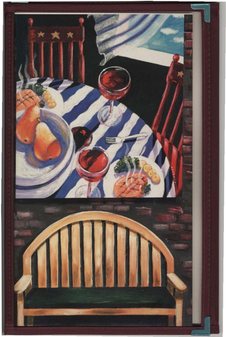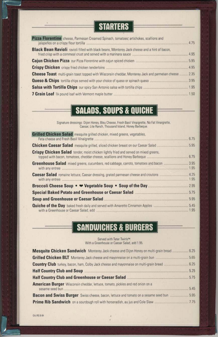#### **STARTERS**

| Pizza Florentine cheese, Parmesan Creamed Spinach, tomatoes; artichokes, scallions and                       |      |
|--------------------------------------------------------------------------------------------------------------|------|
| <b>Black Bean Ravioli</b> ravioli filled with black beans, Monterey Jack cheese and a hint of bacon,         |      |
|                                                                                                              |      |
|                                                                                                              | 4.95 |
| <b>Cheese Toast</b> multi-grain toast topped with Wisconsin cheddar, Monterey Jack and parmesan cheese  2.35 |      |
|                                                                                                              |      |
|                                                                                                              |      |
|                                                                                                              |      |

#### **SALADS, SOUPS & QUICHE**

Signature dressings: Dijon Honey, Bleu Cheese, Fresh Basil Vinaigrette, No Fat Vinaigrette, Caesar, Lite Ranch, Thousand Island, Honey Barbeque.

| <b>Grilled Chicken Salad</b> mesquite grilled chicken, mixed greens, vegetables,                     |  |
|------------------------------------------------------------------------------------------------------|--|
|                                                                                                      |  |
| Crispy Chicken Salad tender, moist chicken lightly fried and served on mixed greens,                 |  |
| Greenhouse Salad mixed greens, cucumbers, red cabbage, carrots, tomatoes and bacon  3.95             |  |
|                                                                                                      |  |
|                                                                                                      |  |
| Special Baked Potato and Greenhouse or Caesar Salad <b>Engineering Salam Salam Salam Salam S</b> .75 |  |
| Soup and Greenhouse or Caesar Salad <b>Commission Caesar Salad</b> 5.95                              |  |
|                                                                                                      |  |

## **SANDWICHES & BURGERS**

Served with Tater Twirls™. With a Greenhouse or Caesar Salad, add 1.95.

| <b>Mesquite Chicken Sandwich</b> Monterey Jack cheese and Dijon Honey on multi-grain bread  6.25 |      |
|--------------------------------------------------------------------------------------------------|------|
| Grilled Chicken BLT Monterey Jack cheese and mayonnaise on a multi-grain bun                     |      |
|                                                                                                  |      |
| Half Country Club and Soup <b>Executive Club</b> and Soup                                        | 5.25 |
| Half Country Club and Greenhouse or Caesar Salad <b>Manufacture 1999</b> 575                     |      |
| American Burger Wisconsin cheddar, lettuce, tomato, pickles and red onion on a                   | 5.45 |
| Bacon and Swiss Burger Swiss cheese, bacon, lettuce and tomato on a sesame seed bun  5.95        |      |
|                                                                                                  |      |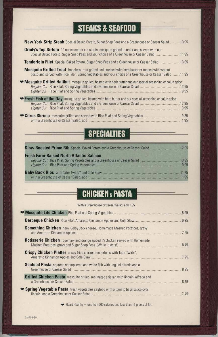# **STEAKS & SEAFOOD**

| New York Strip Steak Special Baked Potato, Sugar Snap Peas and a Greenhouse or Caesar Salad 13.95                                                                                                                    |  |
|----------------------------------------------------------------------------------------------------------------------------------------------------------------------------------------------------------------------|--|
| <b>Grady's Top Sirloin</b> 10 ounce center cut sirloin, mesquite grilled to order and served with our<br>Special Baked Potato, Sugar Snap Peas and your choice of a Greenhouse or Caesar Salad 11.95                 |  |
| <b>Tenderloin Filet</b> Special Baked Potato, Sugar Snap Peas and a Greenhouse or Caesar Salad 13.95                                                                                                                 |  |
| <b>Mesquite Grilled Trout</b> boneless trout grilled and brushed with herb butter or topped with walnut<br>pesto and served with Rice Pilaf, Spring Vegetables and your choice of a Greenhouse or Caesar Salad 11.95 |  |
| • Mesquite Grilled Halibut mesquite grilled, basted with herb butter and our special seasoning or cajun spice                                                                                                        |  |
| <b>PFresh Fish of the Day</b> mesquite grilled, basted with herb butter and our special seasoning or cajun spice<br>Lighter Cut                                                                                      |  |
|                                                                                                                                                                                                                      |  |

### **SPECIALTIES**

| Slow Roasted Prime Rib Special Baked Potato and a Greenhouse or Caesar Salad | 12.95         |
|------------------------------------------------------------------------------|---------------|
| <b>Fresh Farm-Raised North Atlantic Salmon</b>                               | 13.95<br>9.95 |
|                                                                              | 11.75         |

#### **CHICKEN & PASTA**

With a Greenhouse or Caesar Salad, add 1.95.

| <b>Something Chicken</b> ham, Colby Jack cheese, Homemade Mashed Potatoes, gravy      |  |
|---------------------------------------------------------------------------------------|--|
| <b>Rotisserie Chicken</b> rosemary and orange spiced 1/2 chicken served with Homemade |  |
| Crispy Chicken Platter crispy fried chicken tenderloins with Tater Twirls".           |  |
| Seafood Pasta sautéed shrimp, crab and white fish with linguini alfredo and a         |  |
| Grilled Chicken Pasta mesquite grilled, marinated chicken with linguini alfredo and   |  |
| <b>Spring Vegetable Pasta</b> fresh vegetables sautéed with a tomato basil sauce over |  |

Heart Healthy - less than 500 calories and less than 16 grams of fat.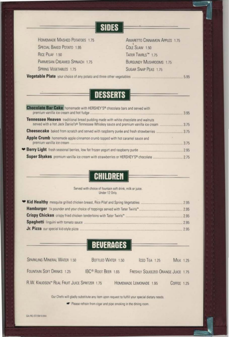#### **SIDES**

HOMEMADE MASHED POTATOES 1.75 SPECIAL BAKED POTATO 1.95 RICE PILAF 1.50 PARMESAN CREAMED SPINACH 1.75 SPRING VEGETABLES 1.75

AMARETTO CINNAMON APPLES 1.75 COLE SLAW 1.50 TATER TWIRLS<sup>\*\*</sup> 1.75 **BURGUNDY MUSHROOMS 1.75** SUGAR SNAP PEAS 1.75

Vegetable Plate your choice of any potato and three other vegetables .....

5.95

**DESSERTS** 

| Chocolate Bar Cake homemade with HERSHEY'S® chocolate bars and served with                |  |
|-------------------------------------------------------------------------------------------|--|
| Tennessee Heaven traditional bread pudding made with white chocolate and walnuts          |  |
|                                                                                           |  |
| Apple Crumb homemade apple cinnamon crumb topped with hot caramel sauce and               |  |
| <b>Berry Light</b> fresh seasonal berries, low fat frozen yogurt and raspberry puree 2.95 |  |
|                                                                                           |  |

**CHILDREN** 

Served with choice of fountain soft drink, milk or juice. Under 12 Only.

| • Kid Healthy mesquite grilled chicken breast, Rice Pilaf and Spring Vegetables | 2.95 |
|---------------------------------------------------------------------------------|------|
|                                                                                 | 2.95 |
| Crispy Chicken crispy fried chicken tenderloins with Tater Twirls"              | 2.95 |
| Spaghetti linguini with tomato sauce                                            | 2.95 |
| Jr. Pizza our special kid-style pizza                                           | 2.95 |

**BEVERAGES** 

| SPARKLING MINERAL WATER 1.50                             | BOTTLED WATER 1.50                    | ICED TEA 125                       | <b>MILK 1.25</b> |  |
|----------------------------------------------------------|---------------------------------------|------------------------------------|------------------|--|
| <b>FOUNTAIN SOFT DRINKS 1.25</b>                         | <b>IBC<sup>®</sup> Root BEER 1.65</b> | FRESHLY SQUEEZED ORANGE JUICE 1.75 |                  |  |
| R.W. KNUDSEN <sup>®</sup> REAL FRUIT JUICE SPRITZER 1.75 |                                       | HOMEMADE LEMONADE 1.95             | COFFEE 1.25      |  |

Our Chefs will gladly substitute any item upon request to fulfill your special dietary needs.

Please refrain from cigar and pipe smoking in the dining room.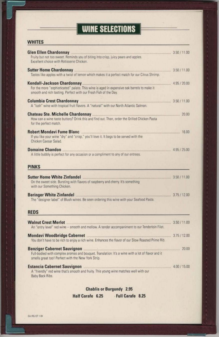#### **WINE SELECTIONS**

#### **WHITES**

| Fruity but not too sweet. Reminds you of biting into crisp, juicy pears and apples.<br>Excellent choice with Rotisserie Chicken.                        |  |
|---------------------------------------------------------------------------------------------------------------------------------------------------------|--|
|                                                                                                                                                         |  |
| Sutter Home Chardonnay 2000 11.00<br>Tastes like apples with a twist of lemon which makes it a perfect match for our Citrus Shrimp.                     |  |
| For the more "sophisticated" palate. This wine is aged in expensive oak barrels to make it                                                              |  |
| smooth and rich tasting. Perfect with our Fresh Fish of the Day.                                                                                        |  |
|                                                                                                                                                         |  |
| A "lush" wine with tropical fruit flavors. A "natural" with our North Atlantic Salmon.                                                                  |  |
| Chateau Ste. Michelle Chardonnay 2000                                                                                                                   |  |
| How can a wine taste buttery? Drink this and find out. Then, order the Grilled Chicken Pasta<br>for the perfect match.                                  |  |
| Robert Mondavi Fume Blanc <b>Manual Community</b> 16.00                                                                                                 |  |
| If you like your wine "dry" and "crisp," you'll love it. It begs to be served with the<br>Chicken Caesar Salad.                                         |  |
| <b>Domaine Chandon</b> 25.00 25.00<br>A little bubbly is perfect for any occasion or a compliment to any of our entrees.                                |  |
| <b>PINKS</b>                                                                                                                                            |  |
| On the sweet side. Bursting with flavors of raspberry and cherry. It's something                                                                        |  |
| with our Something Chicken.                                                                                                                             |  |
| Beringer White Zinfandel <b>Manual According to the UL</b> 3.75 / 12.00                                                                                 |  |
| The "designer label" of Blush wines. Be seen ordering this wine with your Seafood Pasta.                                                                |  |
| <b>REDS</b>                                                                                                                                             |  |
| Walnut Crest Merlot 250 / 11.00                                                                                                                         |  |
| An "entry level" red wine - smooth and mellow. A tender accompaniment to our Tenderloin Filet.                                                          |  |
|                                                                                                                                                         |  |
| You don't have to be rich to enjoy a rich wine. Enhances the flavor of our Slow Roasted Prime Rib.                                                      |  |
|                                                                                                                                                         |  |
| Full-bodied with complex aromas and bouquet. Translation: It's a wine with a lot of flavor and it<br>smells great too! Perfect with the New York Strip. |  |
| Estancia Cabernet Sauvignon Material Cabernet Sauvignon Material Cabernet Sauvignon Material A.00 / 15.00                                               |  |
| A "friendly" red wine that's smooth and fruity. This young wine matches well with our<br>Baby Back Ribs.                                                |  |

**Chablis or Burgundy 2.95** Half Carafe 6.25 Full Carafe 8.25